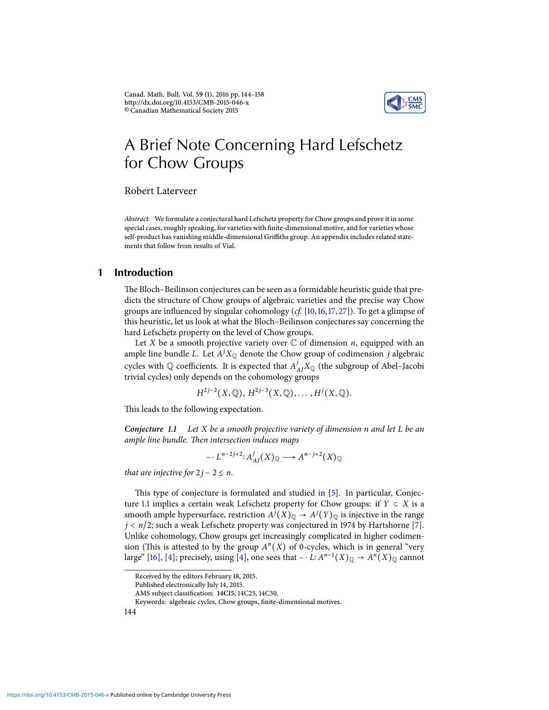Canad. Math. Bull. Vol. **59** (1), 2016 pp. 144–158 http://dx.doi.org/10.4153/CMB-2015-046-x ©Canadian Mathematical Society 2015



# A Brief Note Concerning Hard Lefschetz for Chow Groups

Robert Laterveer

Abstract. We formulate a conjectural hard Lefschetz property for Chow groups and prove it in some special cases, roughly speaking, for varieties with finite-dimensional motive, and for varieties whose self-product has vanishing middle-dimensional Griffiths group. An appendix includes related statements that follow from results of Vial.

### **1 Introduction**

The Bloch–Beilinson conjectures can be seen as a formidable heuristic guide that predicts the structure of Chow groups of algebraic varieties and the precise way Chow groups are influenced by singular cohomology  $(cf. [10, 16, 17, 27])$  $(cf. [10, 16, 17, 27])$  $(cf. [10, 16, 17, 27])$  $(cf. [10, 16, 17, 27])$  $(cf. [10, 16, 17, 27])$  $(cf. [10, 16, 17, 27])$  $(cf. [10, 16, 17, 27])$  $(cf. [10, 16, 17, 27])$  $(cf. [10, 16, 17, 27])$ . To get a glimpse of this heuristic, let us look at what the Bloch–Beilinson conjectures say concerning the hard Lefschetz property on the level of Chow groups.

Let X be a smooth projective variety over  $\mathbb C$  of dimension *n*, equipped with an ample line bundle L. Let  $A^{j}X_{\mathbb{Q}}$  denote the Chow group of codimension j algebraic cycles with Q coefficients. It is expected that  $A_{AI}^jX_{\mathbb{Q}}$  (the subgroup of Abel–Jacobi trivial cycles) only depends on the cohomology groups

$$
H^{2j-2}(X, \mathbb{Q}), H^{2j-3}(X, \mathbb{Q}), \ldots, H^j(X, \mathbb{Q}).
$$

This leads to the following expectation.

<span id="page-0-0"></span>**Conjecture 1.1** Let X be a smooth projective variety of dimension n and let L be an ample line bundle. Then intersection induces maps

$$
- \cdot L^{n-2j+2} \colon A^j_{AI}(X)_{\mathbb{Q}} \longrightarrow A^{n-j+2}(X)_{\mathbb{Q}}
$$

that are injective for  $2j - 2 \leq n$ .

This type of conjecture is formulated and studied in [\[5\]](#page-13-0). In particular, Conjec-ture [1.1](#page-0-0) implies a certain weak Lefschetz property for Chow groups: if  $Y \subset X$  is a smooth ample hypersurface, restriction  $A^j(X)_{\mathbb{Q}} \to A^j(Y)_{\mathbb{Q}}$  is injective in the range  $j < n/2$ ; such a weak Lefschetz property was conjectured in 1974 by Hartshorne [\[7\]](#page-13-1). Unlike cohomology, Chow groups get increasingly complicated in higher codimension (This is attested to by the group  $A<sup>n</sup>(X)$  of 0-cycles, which is in general "very large" [\[16\]](#page-14-1), [\[4\]](#page-13-2); precisely, using [\[4\]](#page-13-2), one sees that  $- \cdot L: A^{n-1}(X)_\mathbb{Q} \to A^n(X)_\mathbb{Q}$  cannot

Received by the editors February 18, 2015.

Published electronically July 14, 2015.

AMS subject classification: 14C15, 14C25, 14C30.

Keywords: algebraic cycles, Chow groups, finite-dimensional motives.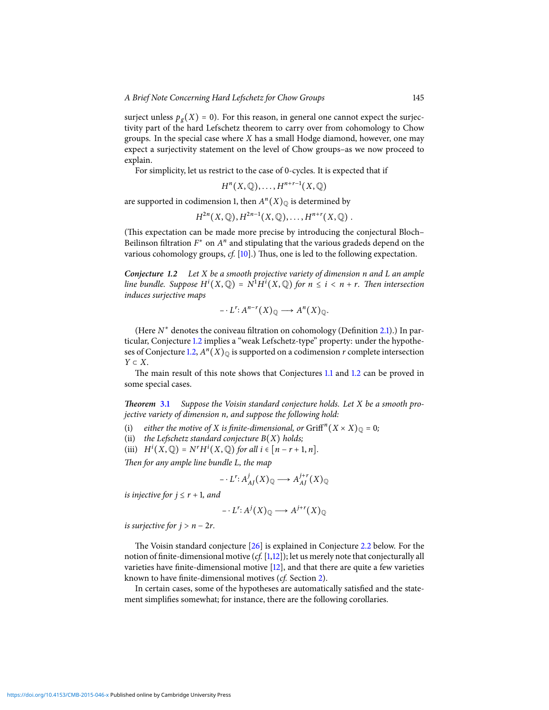surject unless  $p_g(X) = 0$ ). For this reason, in general one cannot expect the surjectivity part of the hard Lefschetz theorem to carry over from cohomology to Chow groups. In the special case where  $X$  has a small Hodge diamond, however, one may expect a surjectivity statement on the level of Chow groups–as we now proceed to explain.

For simplicity, let us restrict to the case of 0-cycles. It is expected that if

$$
H^n(X, \mathbb{Q}), \ldots, H^{n+r-1}(X, \mathbb{Q})
$$

are supported in codimension 1, then  $A^{n}(X)_{\mathbb{Q}}$  is determined by

$$
H^{2n}(X, \mathbb{Q}), H^{2n-1}(X, \mathbb{Q}), \ldots, H^{n+r}(X, \mathbb{Q})
$$
.

(This expectation can be made more precise by introducing the conjectural Bloch– Beilinson filtration  $F^*$  on  $A^n$  and stipulating that the various gradeds depend on the various cohomology groups,  $cf.$  [\[10\]](#page-14-0).) Thus, one is led to the following expectation.

<span id="page-1-0"></span>**Conjecture 1.2** Let X be a smooth projective variety of dimension n and L an ample line bundle. Suppose  $H^{i}(X, \mathbb{Q}) = N^{1}H^{i}(X, \mathbb{Q})$  for  $n \leq i < n + r$ . Then intersection induces surjective maps

$$
- \cdot L^r \colon A^{n-r}(X)_{\mathbb{Q}} \longrightarrow A^n(X)_{\mathbb{Q}}.
$$

(Here  $N^*$  denotes the coniveau filtration on cohomology (Definition [2.1\)](#page-2-0).) In particular, Conjecture [1.2](#page-1-0) implies a "weak Lefschetz-type" property: under the hypothe-ses of Conjecture [1.2,](#page-1-0)  $A^n(X)_{\mathbb{Q}}$  is supported on a codimension r complete intersection  $Y \subset X$ .

The main result of this note shows that Conjectures [1.1](#page-0-0) and [1.2](#page-1-0) can be proved in some special cases.

**Theorem [3.1](#page-4-0)** Suppose the Voisin standard conjecture holds. Let X be a smooth projective variety of dimension n, and suppose the following hold:

(i) either the motive of X is finite-dimensional, or  $\operatorname{Griff}^{n}(X \times X)_{\mathbb{Q}} = 0$ ;

- (ii) the Lefschetz standard conjecture  $B(X)$  holds;
- (iii)  $H^i(X, \mathbb{Q}) = N^r H^i(X, \mathbb{Q})$  for all  $i \in [n-r+1, n]$ .

Then for any ample line bundle L, the map

$$
- \cdot L^r \colon A^j_{AI}(X)_{\mathbb{Q}} \longrightarrow A^{j+r}_{AI}(X)_{\mathbb{Q}}
$$

is injective for  $j \leq r + 1$ , and

$$
\overline{\phantom{a}} \cdot L^r \colon A^j(X)_{\mathbb{Q}} \longrightarrow A^{j+r}(X)_{\mathbb{Q}}
$$

is surjective for  $j > n - 2r$ .

The Voisin standard conjecture [\[26\]](#page-14-4) is explained in Conjecture [2.2](#page-3-0) below. For the notion of finite-dimensional motive (cf.  $[1,12]$  $[1,12]$ ); let us merely note that conjecturally all varieties have finite-dimensional motive  $[12]$ , and that there are quite a few varieties known to have finite-dimensional motives (cf. Section [2\)](#page-2-1).

In certain cases, some of the hypotheses are automatically satisfied and the statement simplifies somewhat; for instance, there are the following corollaries.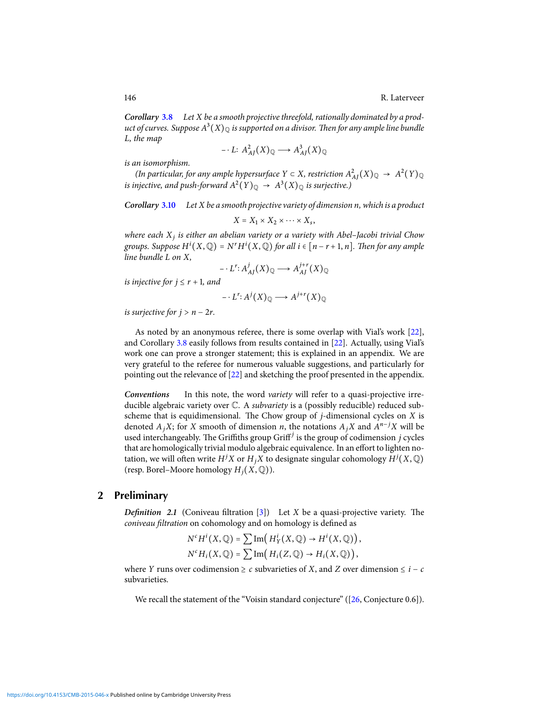**Corollary [3.8](#page-8-0)** Let X be a smooth projective threefold, rationally dominated by a product of curves. Suppose  $A^3(X)_{\mathbb Q}$  is supported on a divisor. Then for any ample line bundle L, the map

$$
- \cdot L: A_{AJ}^2(X)_{\mathbb{Q}} \longrightarrow A_{AJ}^3(X)_{\mathbb{Q}}
$$

is an isomorphism.

(In particular, for any ample hypersurface  $Y \subset X$ , restriction  $A_{AI}^2(X)_{\mathbb{Q}} \to A^2(Y)_{\mathbb{Q}}$ is injective, and push-forward  $A^2(Y)_{\mathbb{Q}} \, \to \, A^3(X)_{\mathbb{Q}}$  is surjective.)

**Corollary [3.10](#page-9-0)** Let X be a smooth projective variety of dimension n, which is a product

$$
X = X_1 \times X_2 \times \cdots \times X_s,
$$

where each  $X_i$  is either an abelian variety or a variety with Abel–Jacobi trivial Chow groups. Suppose  $H^i(X,\mathbb{Q}) = N^r H^i(X,\mathbb{Q})$  for all  $i \in [n-r+1,n]$ . Then for any ample line bundle L on X,

$$
- \cdot L^r \colon A^j_{AJ}(X)_{\mathbb{Q}} \longrightarrow A^{j+r}_{AJ}(X)_{\mathbb{Q}}
$$

is injective for  $j \leq r + 1$ , and

$$
- \cdot L^{r} \colon A^{j}(X)_{\mathbb{Q}} \longrightarrow A^{j+r}(X)_{\mathbb{Q}}
$$

is surjective for  $j > n - 2r$ .

As noted by an anonymous referee, there is some overlap with Vial's work [\[22\]](#page-14-6), and Corollary [3.8](#page-8-0) easily follows from results contained in [\[22\]](#page-14-6). Actually, using Vial's work one can prove a stronger statement; this is explained in an appendix. We are very grateful to the referee for numerous valuable suggestions, and particularly for pointing out the relevance of [\[22\]](#page-14-6) and sketching the proof presented in the appendix.

**Conventions** In this note, the word variety will refer to a quasi-projective irreducible algebraic variety over C. A subvariety is a (possibly reducible) reduced subscheme that is equidimensional. The Chow group of  $j$ -dimensional cycles on  $X$  is denoted  $A_i X$ ; for X smooth of dimension n, the notations  $A_i X$  and  $A^{n-j} X$  will be used interchangeably. The Griffiths group Griff<sup>j</sup> is the group of codimension *i* cycles that are homologically trivial modulo algebraic equivalence. In an effort to lighten notation, we will often write  $H^jX$  or  $H_jX$  to designate singular cohomology  $H^j(X, \mathbb{Q})$ (resp. Borel–Moore homology  $H_i(X, \mathbb{Q})$ ).

### **2 Preliminary**

<span id="page-2-1"></span><span id="page-2-0"></span>**Definition** 2.1 (Coniveau filtration  $[3]$ ) Let X be a quasi-projective variety. The coniveau filtration on cohomology and on homology is defined as

$$
N^{c}H^{i}(X,\mathbb{Q})=\sum \text{Im}\left(H_{Y}^{i}(X,\mathbb{Q})\rightarrow H^{i}(X,\mathbb{Q})\right),
$$
  

$$
N^{c}H_{i}(X,\mathbb{Q})=\sum \text{Im}\left(H_{i}(Z,\mathbb{Q})\rightarrow H_{i}(X,\mathbb{Q})\right),
$$

where Y runs over codimension  $\geq c$  subvarieties of X, and Z over dimension  $\leq i - c$ subvarieties.

We recall the statement of the "Voisin standard conjecture" ([\[26,](#page-14-4) Conjecture 0.6]).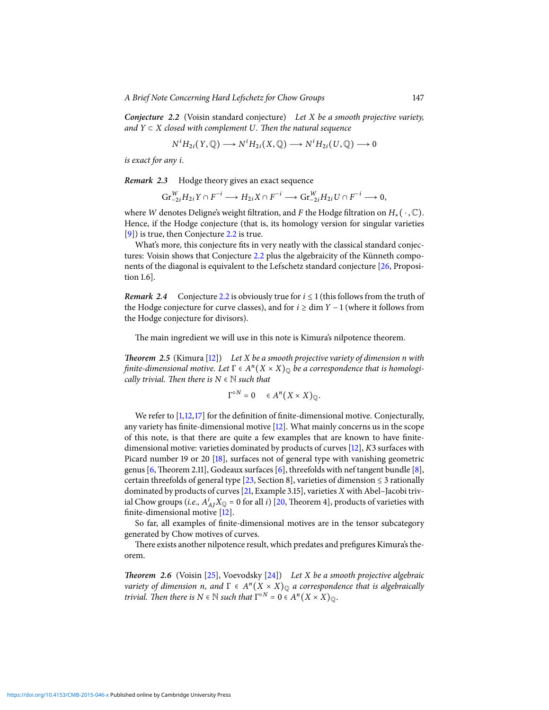<span id="page-3-0"></span>**Conjecture 2.2** (Voisin standard conjecture) Let X be a smooth projective variety, and  $Y \subset X$  closed with complement U. Then the natural sequence

$$
N^i H_{2i}(Y, \mathbb{Q}) \longrightarrow N^i H_{2i}(X, \mathbb{Q}) \longrightarrow N^i H_{2i}(U, \mathbb{Q}) \longrightarrow 0
$$

is exact for any i.

**Remark 2.3** Hodge theory gives an exact sequence

$$
\operatorname{Gr}_{-2i}^WH_{2i}Y\cap F^{-i}\longrightarrow H_{2i}X\cap F^{-i}\longrightarrow \operatorname{Gr}_{-2i}^WH_{2i}U\cap F^{-i}\longrightarrow 0,
$$

where W denotes Deligne's weight filtration, and F the Hodge filtration on  $H_*(\cdot, \mathbb{C})$ . Hence, if the Hodge conjecture (that is, its homology version for singular varieties [\[9\]](#page-14-7)) is true, then Conjecture [2.2](#page-3-0) is true.

What's more, this conjecture fits in very neatly with the classical standard conjectures: Voisin shows that Conjecture [2.2](#page-3-0) plus the algebraicity of the Künneth components of the diagonal is equivalent to the Lefschetz standard conjecture [\[26,](#page-14-4) Proposition 1.6].

**Remark** 2.4 Conjecture [2.2](#page-3-0) is obviously true for  $i \le 1$  (this follows from the truth of the Hodge conjecture for curve classes), and for  $i \ge \dim Y - 1$  (where it follows from the Hodge conjecture for divisors).

The main ingredient we will use in this note is Kimura's nilpotence theorem.

<span id="page-3-1"></span>**Theorem 2.5** (Kimura [\[12\]](#page-14-5)) Let X be a smooth projective variety of dimension n with finite-dimensional motive. Let  $\Gamma \in A^n(X \times X)_{\mathbb Q}$  be a correspondence that is homologically trivial. Then there is  $N \in \mathbb{N}$  such that

$$
\Gamma^{\circ N} = 0 \quad \in A^n(X \times X)_{\mathbb{Q}}.
$$

We refer to  $[1,12,17]$  $[1,12,17]$  $[1,12,17]$  for the definition of finite-dimensional motive. Conjecturally, any variety has finite-dimensional motive  $[12]$ . What mainly concerns us in the scope of this note, is that there are quite a few examples that are known to have finitedimensional motive: varieties dominated by products of curves [\[12\]](#page-14-5), K3 surfaces with Picard number 19 or 20 [\[18\]](#page-14-8), surfaces not of general type with vanishing geometric genus [\[6,](#page-13-5) Theorem 2.11], Godeaux surfaces [\[6\]](#page-13-5), threefolds with nef tangent bundle [\[8\]](#page-13-6), certain threefolds of general type [\[23,](#page-14-9) Section 8], varieties of dimension  $\leq$  3 rationally dominated by products of curves  $[21, Example 3.15]$  $[21, Example 3.15]$ , varieties X with Abel–Jacobi trivial Chow groups (*i.e.*,  $A_{AI}^{i}X_{\mathbb{Q}} = 0$  for all *i*) [\[20,](#page-14-11) Theorem 4], products of varieties with finite-dimensional motive  $[12]$ .

So far, all examples of finite-dimensional motives are in the tensor subcategory generated by Chow motives of curves.

There exists another nilpotence result, which predates and prefigures Kimura's theorem.

<span id="page-3-2"></span>**Theorem 2.6** (Voisin [\[25\]](#page-14-12), Voevodsky [\[24\]](#page-14-13)) Let X be a smooth projective algebraic variety of dimension n, and  $\Gamma \in A^n(X \times X)_{\mathbb Q}$  a correspondence that is algebraically trivial. Then there is  $N \in \mathbb{N}$  such that  $\Gamma^{\circ N} = 0 \in A^n(X \times X)_{\mathbb{Q}}$ .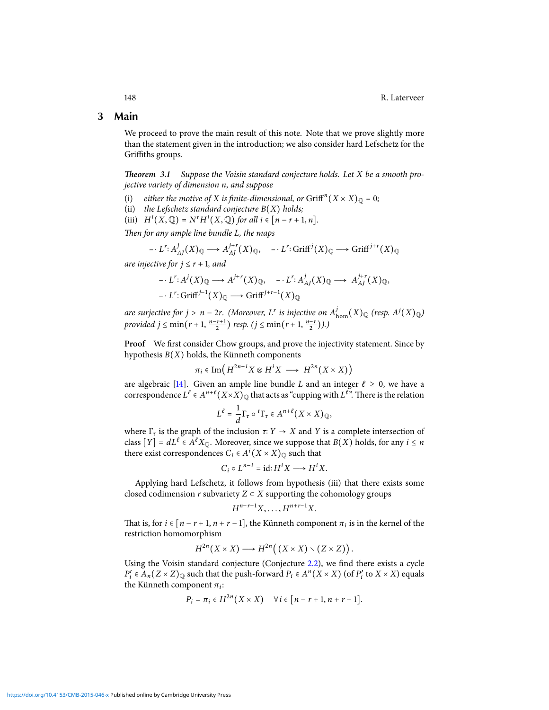### **3 Main**

We proceed to prove the main result of this note. Note that we prove slightly more than the statement given in the introduction; we also consider hard Lefschetz for the Griffiths groups.

<span id="page-4-0"></span>**Theorem 3.1** Suppose the Voisin standard conjecture holds. Let X be a smooth projective variety of dimension n, and suppose

- (i) either the motive of X is finite-dimensional, or  $\operatorname{Griff}^{n}(X \times X)_{\mathbb{Q}} = 0$ ;
- (ii) the Lefschetz standard conjecture  $B(X)$  holds;
- (iii)  $H^i(X, \mathbb{Q}) = N^r H^i(X, \mathbb{Q})$  for all  $i \in [n-r+1, n]$ .

Then for any ample line bundle L, the maps

$$
- \cdot L^r \colon A^j_{AI}(X)_{\mathbb{Q}} \longrightarrow A^{j+r}_{AI}(X)_{\mathbb{Q}}, \quad - \cdot L^r \colon \text{Griff}^j(X)_{\mathbb{Q}} \longrightarrow \text{Griff}^{j+r}(X)_{\mathbb{Q}}
$$

are injective for  $j \leq r + 1$ , and

$$
- \cdot L^r \colon A^j(X)_{\mathbb{Q}} \longrightarrow A^{j+r}(X)_{\mathbb{Q}}, \quad - \cdot L^r \colon A^j_{AI}(X)_{\mathbb{Q}} \longrightarrow A^{j+r}_{AI}(X)_{\mathbb{Q}},
$$
  

$$
- \cdot L^r \colon \text{Griff}^{j-1}(X)_{\mathbb{Q}} \longrightarrow \text{Griff}^{j+r-1}(X)_{\mathbb{Q}}
$$

are surjective for  $j > n - 2r$ . (Moreover,  $L^r$  is injective on  $A^{j}_{\text{hom}}(X)_{\mathbb{Q}}$  (resp.  $A^{j}(X)_{\mathbb{Q}}$ ) *provided j* ≤ min(*r* + 1,  $\frac{n-r+1}{2}$ ) *resp.* (*j* ≤ min(*r* + 1,  $\frac{n-r}{2}$ )).)

Proof We first consider Chow groups, and prove the injectivity statement. Since by hypothesis  $B(X)$  holds, the Künneth components

$$
\pi_i \in \text{Im}\left(H^{2n-i}X \otimes H^iX \longrightarrow H^{2n}(X \times X)\right)
$$

are algebraic [\[14\]](#page-14-14). Given an ample line bundle L and an integer  $\ell \geq 0$ , we have a correspondence  $L^{\ell} \in A^{n+\ell}(X \times X)_{\mathbb Q}$  that acts as "cupping with  $L^{\ell}$ ". There is the relation

$$
L^{\ell} = \frac{1}{d} \Gamma_{\tau} \circ {}^{t} \Gamma_{\tau} \in A^{n+\ell} (X \times X)_{\mathbb{Q}},
$$

where  $\Gamma_{\tau}$  is the graph of the inclusion  $\tau: Y \to X$  and Y is a complete intersection of class  $[Y] = dL^e \in A^e X_{\mathbb{Q}}$ . Moreover, since we suppose that  $B(X)$  holds, for any  $i \leq n$ there exist correspondences  $C_i \in A^i(X \times X)_{\mathbb{Q}}$  such that

$$
C_i \circ L^{n-i} = \mathrm{id} : H^i X \longrightarrow H^i X.
$$

Applying hard Lefschetz, it follows from hypothesis (iii) that there exists some closed codimension r subvariety  $Z \subset X$  supporting the cohomology groups

$$
H^{n-r+1}X,\ldots,H^{n+r-1}X.
$$

That is, for  $i \in [n-r+1, n+r-1]$ , the Künneth component  $\pi_i$  is in the kernel of the restriction homomorphism

$$
H^{2n}(X \times X) \longrightarrow H^{2n}((X \times X) \setminus (Z \times Z)).
$$

Using the Voisin standard conjecture (Conjecture [2.2\)](#page-3-0), we find there exists a cycle  $P'_i \in A_n(Z \times Z)_{\mathbb{Q}}$  such that the push-forward  $P_i \in A^n(X \times X)$  (of  $P'_i$  to  $X \times X$ ) equals the Künneth component  $\pi_i$ :

$$
P_i = \pi_i \in H^{2n}(X \times X) \quad \forall i \in [n-r+1, n+r-1].
$$

<https://doi.org/10.4153/CMB-2015-046-x>Published online by Cambridge University Press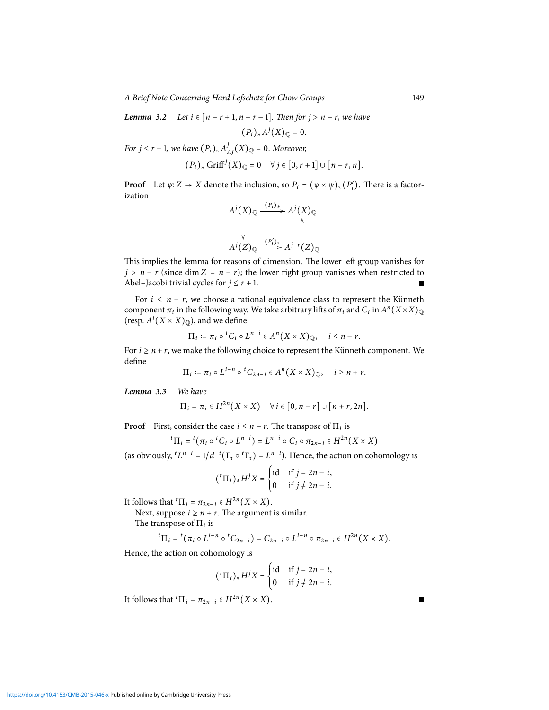A Brief Note Concerning Hard Lefschetz for Chow Groups 149

<span id="page-5-0"></span>**Lemma 3.2** Let 
$$
i \in [n-r+1, n+r-1]
$$
. Then for  $j > n-r$ , we have

 $(P_i)_*A^j(X)_{{\mathbb Q}} = 0.$ 

For  $j \leq r + 1$ , we have  $(P_i)_* A_j^j$  $J_{AI}^{j}(X)_{\mathbb{Q}} = 0.$  Moreover,

$$
(P_i)_* \operatorname{Griff}^j(X)_{\mathbb{Q}} = 0 \quad \forall j \in [0, r+1] \cup [n-r, n].
$$

**Proof** Let  $\psi: Z \to X$  denote the inclusion, so  $P_i = (\psi \times \psi)_*(P'_i)$ . There is a factorization

$$
A^{j}(X)_{\mathbb{Q}} \xrightarrow{(P_i)_*} A^{j}(X)_{\mathbb{Q}}
$$
  
\n
$$
\downarrow \qquad \qquad \downarrow
$$
  
\n
$$
A^{j}(Z)_{\mathbb{Q}} \xrightarrow{(P'_i)_*} A^{j-r}(Z)_{\mathbb{Q}}
$$

This implies the lemma for reasons of dimension. The lower left group vanishes for  $j > n - r$  (since dim  $Z = n - r$ ); the lower right group vanishes when restricted to Abel–Jacobi trivial cycles for  $j \le r + 1$ . Г

For  $i \leq n - r$ , we choose a rational equivalence class to represent the Künneth component  $\pi_i$  in the following way. We take arbitrary lifts of  $\pi_i$  and  $C_i$  in  $A^n(X \times X)_{\mathbb Q}$ (resp.  $A^i(X \times X)_{\mathbb{Q}}$ ), and we define

$$
\Pi_i := \pi_i \circ {}^tC_i \circ L^{n-i} \in A^n(X \times X)_{\mathbb{Q}}, \quad i \leq n-r.
$$

For  $i \ge n + r$ , we make the following choice to represent the Künneth component. We define

$$
\Pi_i := \pi_i \circ L^{i-n} \circ {}^tC_{2n-i} \in A^n(X \times X)_{\mathbb{Q}}, \quad i \ge n+r.
$$

<span id="page-5-1"></span>**Lemma 3.3** We have

$$
\Pi_i = \pi_i \in H^{2n}(X \times X) \quad \forall i \in [0, n-r] \cup [n+r, 2n].
$$

**Proof** First, consider the case  $i \leq n - r$ . The transpose of  $\Pi_i$  is

$$
{}^{t}\Pi_{i} = {}^{t}(\pi_{i} \circ {}^{t}C_{i} \circ L^{n-i}) = L^{n-i} \circ C_{i} \circ \pi_{2n-i} \in H^{2n}(X \times X)
$$

(as obviously,  ${}^tL^{n-i} = 1/d \ {}^t(\Gamma_\tau \circ {}^t\Gamma_\tau) = L^{n-i}$ ). Hence, the action on cohomology is

$$
({}^{t}\Pi_{i})_{*}H^{j}X = \begin{cases} \text{id} & \text{if } j = 2n - i, \\ 0 & \text{if } j \neq 2n - i. \end{cases}
$$

It follows that  ${}^t\Pi_i = \pi_{2n-i} \in H^{2n}(X \times X)$ .

Next, suppose  $i \geq n + r$ . The argument is similar.

The transpose of  $\Pi_i$  is

$$
{}^t\Pi_i={}^t\bigl(\pi_i\circ L^{i-n}\circ {}^tC_{2n-i}\bigr)=C_{2n-i}\circ L^{i-n}\circ \pi_{2n-i}\in H^{2n}\bigl(X\times X\bigr).
$$

Hence, the action on cohomology is

$$
(^{t}\Pi_{i})_{*}H^{j}X = \begin{cases} \mathrm{id} & \text{if } j = 2n - i, \\ 0 & \text{if } j \neq 2n - i. \end{cases}
$$

It follows that  ${}^t\Pi_i = \pi_{2n-i} \in H^{2n}(X \times X)$ .

<https://doi.org/10.4153/CMB-2015-046-x>Published online by Cambridge University Press

П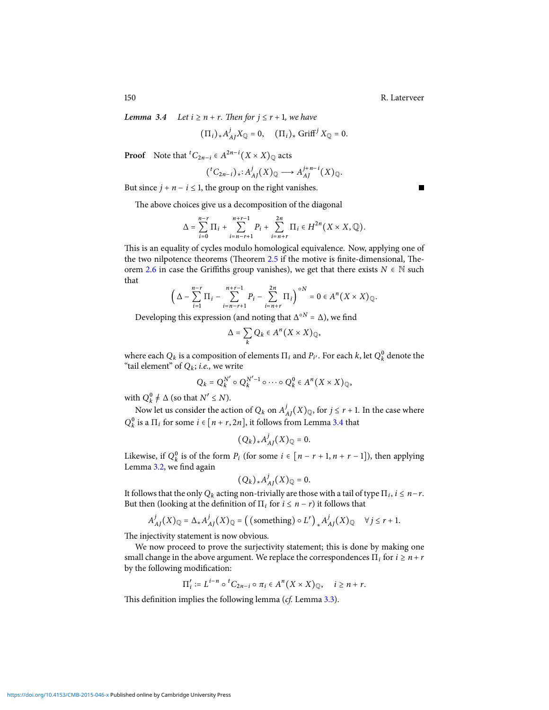П

<span id="page-6-0"></span>**Lemma** 3.4 Let  $i \ge n + r$ . Then for  $j \le r + 1$ , we have

$$
(\Pi_i)_*A^j_{AI}X_{\mathbb{Q}}=0, \quad (\Pi_i)_*\text{Griff}^jX_{\mathbb{Q}}=0.
$$

**Proof** Note that <sup>t</sup> $C_{2n-i} \in A^{2n-i}(X \times X)_{\mathbb{Q}}$  acts

$$
({}^tC_{2n-i})_*: A^j_{AJ}(X)_{\mathbb{Q}} \longrightarrow A^{j+n-i}_{AJ}(X)_{\mathbb{Q}}.
$$

But since  $j + n - i \leq 1$ , the group on the right vanishes.

The above choices give us a decomposition of the diagonal

$$
\Delta=\sum_{i=0}^{n-r}\Pi_i+\sum_{i=n-r+1}^{n+r-1}P_i+\sum_{i=n+r}^{2n}\Pi_i\in H^{2n}\big(X\times X,\mathbb{Q}\big).
$$

This is an equality of cycles modulo homological equivalence. Now, applying one of the two nilpotence theorems (Theorem  $2.5$  if the motive is finite-dimensional, The-orem [2.6](#page-3-2) in case the Griffiths group vanishes), we get that there exists  $N \in \mathbb{N}$  such that

$$
\left(\Delta-\sum_{i=1}^{n-r}\Pi_i-\sum_{i=n-r+1}^{n+r-1}P_i-\sum_{i=n+r}^{2n}\Pi_i\right)^{\circ N}=0\in A^n\bigl(X\times X\bigr)_{\mathbb Q}.
$$

Developing this expression (and noting that  $\Delta^{\circ N} = \Delta$ ), we find

$$
\Delta = \sum_{k} Q_k \in A^n(X \times X)_{\mathbb{Q}},
$$

where each  $Q_k$  is a composition of elements  $\Pi_i$  and  $P_{i'}$ . For each  $k$ , let  $Q_k^0$  denote the "tail element" of  $Q_k$ ; *i.e.*, we write

$$
Q_k = Q_k^{N'} \circ Q_k^{N'-1} \circ \cdots \circ Q_k^0 \in A^n(X \times X)_{\mathbb{Q}},
$$

with  $Q_k^0 \neq \Delta$  (so that  $N' \leq N$ ).

Now let us consider the action of  $Q_k$  on  $A^j$ .  $\bigcup_{A}^{j}$   $(X)_{\mathbb{Q}}$ , for  $j \leq r + 1$ . In the case where  $Q_k^0$  is a  $\Pi_i$  for some  $i \in [n + r, 2n]$ , it follows from Lemma [3.4](#page-6-0) that

$$
(Q_k)_*A^j_{AJ}(X)_{\mathbb{Q}}=0.
$$

Likewise, if  $Q_k^0$  is of the form  $P_i$  (for some  $i \in [n-r+1, n+r-1]$ ), then applying Lemma [3.2,](#page-5-0) we find again

$$
(Q_k)_*A^j_{AI}(X)_{\mathbb{Q}}=0.
$$

It follows that the only  $Q_k$  acting non-trivially are those with a tail of type  $\Pi_i$ ,  $i \leq n-r$ . But then (looking at the definition of  $\Pi_i$  for  $i \leq n-r$ ) it follows that

$$
A_{AJ}^j(X)_{\mathbb{Q}} = \Delta_* A_{AJ}^j(X)_{\mathbb{Q}} = \left( \text{ (something) } \circ L^r \right)_* A_{AJ}^j(X)_{\mathbb{Q}} \quad \forall j \leq r+1.
$$

The injectivity statement is now obvious.

We now proceed to prove the surjectivity statement; this is done by making one small change in the above argument. We replace the correspondences  $\Pi_i$  for  $i \geq n+r$ by the following modification:

$$
\Pi'_i := L^{i-n} \circ {}^tC_{2n-i} \circ \pi_i \in A^n(X \times X)_{\mathbb{Q}}, \quad i \ge n+r.
$$

This definition implies the following lemma  $(cf.$  Lemma [3.3\)](#page-5-1).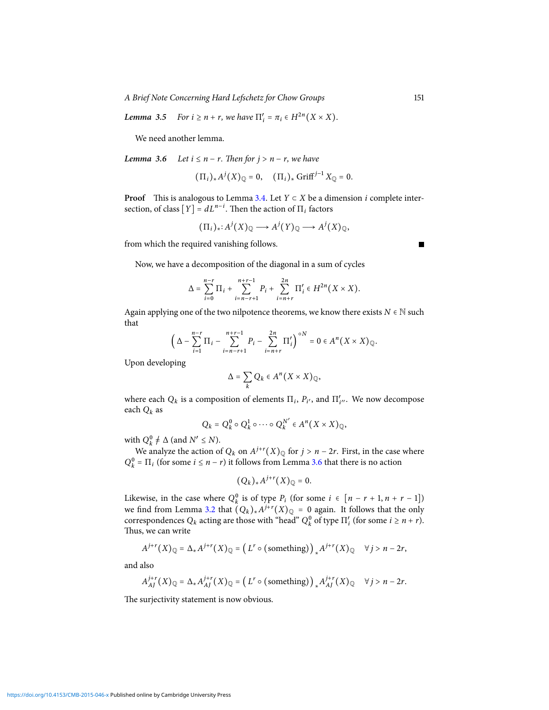A Brief Note Concerning Hard Lefschetz for Chow Groups 151

**Lemma** 3.5 For  $i \ge n + r$ , we have  $\Pi'_i = \pi_i \in H^{2n}(X \times X)$ .

We need another lemma.

<span id="page-7-0"></span>**Lemma** 3.6 Let  $i \leq n - r$ . Then for  $j > n - r$ , we have

$$
(\Pi_i)_*A^j(X)_{\mathbb{Q}}=0, \quad (\Pi_i)_*\text{Griff}^{j-1}X_{\mathbb{Q}}=0.
$$

**Proof** This is analogous to Lemma [3.4.](#page-6-0) Let  $Y \subset X$  be a dimension *i* complete intersection, of class  $[Y] = dL^{n-i}$ . Then the action of  $\Pi_i$  factors

$$
(\Pi_i)_* : A^j(X)_\mathbb{Q} \longrightarrow A^j(Y)_\mathbb{Q} \longrightarrow A^j(X)_\mathbb{Q},
$$

from which the required vanishing follows.

Now, we have a decomposition of the diagonal in a sum of cycles

$$
\Delta = \sum_{i=0}^{n-r} \Pi_i + \sum_{i=n-r+1}^{n+r-1} P_i + \sum_{i=n+r}^{2n} \Pi'_i \in H^{2n}(X \times X).
$$

Again applying one of the two nilpotence theorems, we know there exists  $N \in \mathbb{N}$  such that

$$
\left(\Delta-\sum_{i=1}^{n-r}\Pi_i-\sum_{i=n-r+1}^{n+r-1}P_i-\sum_{i=n+r}^{2n}\Pi_i'\right)^{\circ N}=0\in A^n\bigl(X\times X\bigr)\mathbb{Q}.
$$

Upon developing

$$
\Delta = \sum_{k} Q_k \in A^n(X \times X)_{\mathbb{Q}},
$$

where each  $Q_k$  is a composition of elements  $\Pi_i$ ,  $P_{i'}$ , and  $\Pi'_{i''}$ . We now decompose each  $Q_k$  as

$$
Q_k = Q_k^0 \circ Q_k^1 \circ \cdots \circ Q_k^{N'} \in A^n(X \times X)_{\mathbb{Q}},
$$

with  $Q_k^0 \neq \Delta$  (and  $N' \leq N$ ).

We analyze the action of  $Q_k$  on  $A^{j+r}(X)_{\mathbb{Q}}$  for  $j > n-2r$ . First, in the case where  $Q_k^0 = \Pi_i$  (for some  $i \leq n-r$ ) it follows from Lemma [3.6](#page-7-0) that there is no action

 $(Q_k)_*A^{j+r}(X)_{{\mathbb Q}}=0.$ 

Likewise, in the case where  $Q_k^0$  is of type  $P_i$  (for some  $i \in [n-r+1, n+r-1]$ ) we find from Lemma [3.2](#page-5-0) that  $(Q_k)_* A^{j+r}(X)_\mathbb{Q} = 0$  again. It follows that the only correspondences  $Q_k$  acting are those with "head"  $Q_k^0$  of type  $\Pi'_i$  (for some  $i \geq n + r$ ). Thus, we can write

$$
A^{j+r}(X)_\mathbb{Q} = \Delta_* A^{j+r}(X)_\mathbb{Q} = \left( L^r \circ (\text{something}) \right)_* A^{j+r}(X)_\mathbb{Q} \quad \forall j > n-2r,
$$

and also

$$
A_{AJ}^{j+r}(X)_{\mathbb{Q}} = \Delta_* A_{AJ}^{j+r}(X)_{\mathbb{Q}} = (L^r \circ (\text{something}))_* A_{AJ}^{j+r}(X)_{\mathbb{Q}} \quad \forall j > n-2r.
$$

The surjectivity statement is now obvious.

<https://doi.org/10.4153/CMB-2015-046-x>Published online by Cambridge University Press

 $\blacksquare$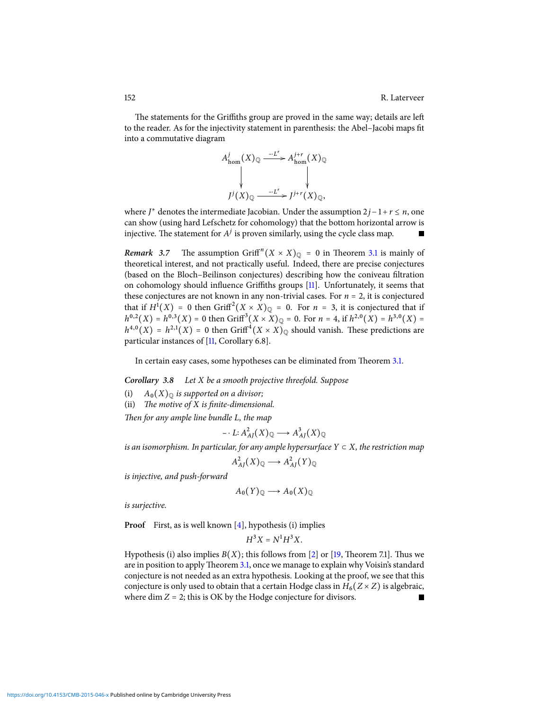The statements for the Griffiths group are proved in the same way; details are left to the reader. As for the injectivity statement in parenthesis: the Abel-Jacobi maps fit into a commutative diagram



where  $J^*$  denotes the intermediate Jacobian. Under the assumption  $2j-1+r \leq n$ , one can show (using hard Lefschetz for cohomology) that the bottom horizontal arrow is injective. The statement for  $A<sup>j</sup>$  is proven similarly, using the cycle class map.

**Remark** 3.7 The assumption  $\operatorname{Griff}^n(X \times X)_{\mathbb{Q}} = 0$  in Theorem [3.1](#page-4-0) is mainly of theoretical interest, and not practically useful. Indeed, there are precise conjectures (based on the Bloch–Beilinson conjectures) describing how the coniveau filtration on cohomology should influence Griffiths groups  $[11]$ . Unfortunately, it seems that these conjectures are not known in any non-trivial cases. For  $n = 2$ , it is conjectured that if  $H^1(X) = 0$  then  $\operatorname{Griff}^2(X \times X)_{\mathbb{Q}} = 0$ . For  $n = 3$ , it is conjectured that if  $h^{0,2}(X) = h^{0,3}(X) = 0$  then Griff<sup>3</sup> $(X \times X)_{\mathbb{Q}} = 0$ . For  $n = 4$ , if  $h^{2,0}(X) = h^{3,0}(X) =$  $h^{4,0}(X) = h^{2,1}(X) = 0$  then Griff<sup>4</sup> $(X \times X)_{\mathbb{Q}}$  should vanish. These predictions are particular instances of [\[11,](#page-14-15) Corollary 6.8].

In certain easy cases, some hypotheses can be eliminated from Theorem [3.1.](#page-4-0)

<span id="page-8-0"></span>**Corollary 3.8** Let X be a smooth projective threefold. Suppose

- (i)  $A_0(X)_{\mathbb{Q}}$  is supported on a divisor;
- (ii) The motive of  $X$  is finite-dimensional.

Then for any ample line bundle L, the map

$$
- \cdot L : A_{AJ}^2(X)_{\mathbb{Q}} \longrightarrow A_{AJ}^3(X)_{\mathbb{Q}}
$$

is an isomorphism. In particular, for any ample hypersurface  $Y \subset X$ , the restriction map

$$
A_{AJ}^2(X)_{\mathbb{Q}} \longrightarrow A_{AJ}^2(Y)_{\mathbb{Q}}
$$

is injective, and push-forward

$$
A_0(Y)_{\mathbb{Q}} \longrightarrow A_0(X)_{\mathbb{Q}}
$$

is surjective.

**Proof** First, as is well known [\[4\]](#page-13-2), hypothesis (i) implies

$$
H^3X=N^1H^3X.\\
$$

Hypothesis (i) also implies  $B(X)$ ; this follows from [\[2\]](#page-13-7) or [\[19,](#page-14-16) Theorem 7.1]. Thus we are in position to apply Theorem [3.1,](#page-4-0) once we manage to explain why Voisin's standard conjecture is not needed as an extra hypothesis. Looking at the proof, we see that this conjecture is only used to obtain that a certain Hodge class in  $H_6(Z \times Z)$  is algebraic, where dim  $Z = 2$ ; this is OK by the Hodge conjecture for divisors.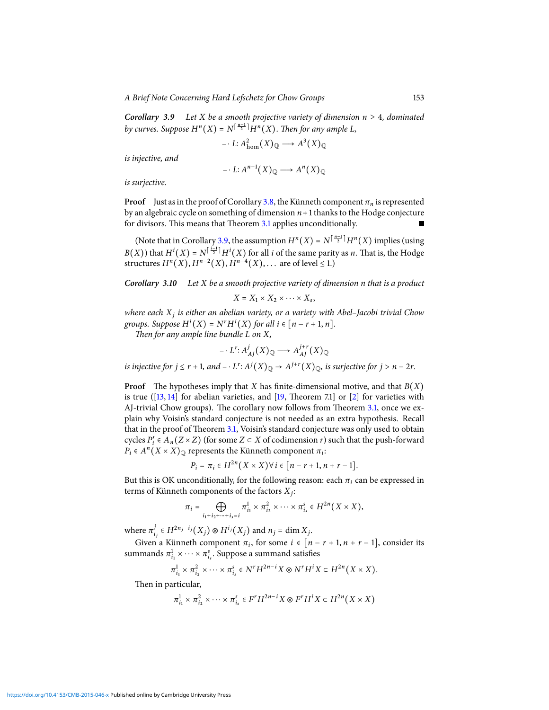<span id="page-9-1"></span>**Corollary 3.9** Let X be a smooth projective variety of dimension  $n \geq 4$ , dominated by curves. Suppose  $H^n(X) = N^{\lceil \frac{n-1}{2} \rceil} H^n(X)$ . Then for any ample L,

$$
-L: A^2_{\text{hom}}(X)_{\mathbb{Q}} \longrightarrow A^3(X)_{\mathbb{Q}}
$$

is injective, and

$$
- \cdot L \colon A^{n-1}(X)_{\mathbb{Q}} \longrightarrow A^{n}(X)_{\mathbb{Q}}
$$

is surjective.

**Proof** Just as in the proof of Corollary [3.8,](#page-8-0) the Künneth component  $\pi_n$  is represented by an algebraic cycle on something of dimension  $n+1$  thanks to the Hodge conjecture for divisors. This means that Theorem [3.1](#page-4-0) applies unconditionally.

(Note that in Corollary [3.9,](#page-9-1) the assumption  $H^n(X) = N^{\lceil \frac{n-1}{2} \rceil} H^n(X)$  implies (using  $B(X)$ ) that  $H^{i}(X) = N^{\lceil \frac{i-1}{2} \rceil} H^{i}(X)$  for all i of the same parity as n. That is, the Hodge structures  $H^n(X)$ ,  $H^{n-2}(X)$ ,  $H^{n-4}(X)$ , ... are of level  $\leq 1$ .)

## <span id="page-9-0"></span>**Corollary 3.10** Let X be a smooth projective variety of dimension n that is a product  $X = X_1 \times X_2 \times \cdots \times X_s$

where each  $X_i$  is either an abelian variety, or a variety with Abel-Jacobi trivial Chow groups. Suppose  $H^i(X) = N^r H^i(X)$  for all  $i \in [n - r + 1, n]$ .

Then for any ample line bundle  $L$  on  $X$ ,

$$
- \cdot L^{r} \colon A^{j}_{AJ}(X)_{\mathbb{Q}} \longrightarrow A^{j+r}_{AJ}(X)_{\mathbb{Q}}
$$

is injective for  $j \le r + 1$ , and  $- \cdot L^r \colon A^j(X)_\mathbb{Q} \to A^{j+r}(X)_\mathbb{Q}$ , is surjective for  $j > n - 2r$ .

**Proof** The hypotheses imply that X has finite-dimensional motive, and that  $B(X)$ is true ( $[13, 14]$  $[13, 14]$  $[13, 14]$  for abelian varieties, and  $[19,$  Theorem 7.1] or [\[2\]](#page-13-7) for varieties with AJ-trivial Chow groups). The corollary now follows from Theorem [3.1,](#page-4-0) once we explain why Voisin's standard conjecture is not needed as an extra hypothesis. Recall that in the proof of Theorem [3.1,](#page-4-0) Voisin's standard conjecture was only used to obtain cycles  $P'_i \in A_n(Z \times Z)$  (for some  $Z \subset X$  of codimension r) such that the push-forward  $P_i \in A^n(X \times X)_{\mathbb{Q}}$  represents the Künneth component  $\pi_i$ :

$$
P_i = \pi_i \in H^{2n}(X \times X) \forall i \in [n-r+1, n+r-1].
$$

But this is OK unconditionally, for the following reason: each  $\pi_i$  can be expressed in terms of Künneth components of the factors  $X_i$ :

$$
\pi_i = \bigoplus_{i_1+i_2+\cdots+i_s=i} \pi_{i_1}^1 \times \pi_{i_2}^2 \times \cdots \times \pi_{i_s}^s \in H^{2n}(X \times X),
$$

where  $\pi^j$  $j_{i_j}$  ∈  $H^{2n_j-i_j}(X_j)$  ⊗  $H^{i_j}(X_j)$  and  $n_j$  = dim  $X_j$ .

Given a Künneth component  $\pi_i$ , for some  $i \in [n-r+1, n+r-1]$ , consider its summands  $\pi_{i_1}^1 \times \cdots \times \pi_{i_s}^s$ . Suppose a summand satisfies

$$
\pi_{i_1}^1 \times \pi_{i_2}^2 \times \cdots \times \pi_{i_s}^s \in N^r H^{2n-i} X \otimes N^r H^i X \subset H^{2n}(X \times X).
$$

Then in particular,

$$
\pi_{i_1}^1 \times \pi_{i_2}^2 \times \cdots \times \pi_{i_s}^s \in F^r H^{2n-i} X \otimes F^r H^i X \subset H^{2n} (X \times X)
$$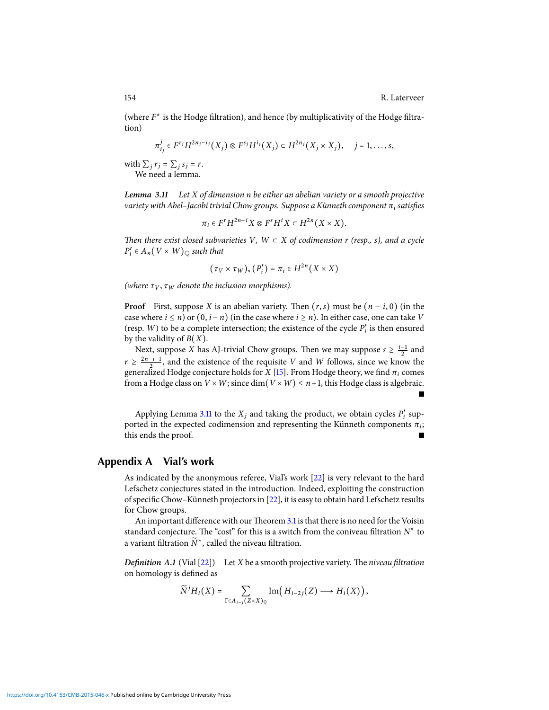Г

(where  $F^*$  is the Hodge filtration), and hence (by multiplicativity of the Hodge filtration)

$$
\pi_{i_j}^j \in F^{r_j} H^{2n_j-i_j}(X_j) \otimes F^{s_j} H^{i_j}(X_j) \subset H^{2n_j}(X_j \times X_j), \quad j=1,\ldots,s,
$$

with  $\sum_j r_j = \sum_j s_j = r$ . We need a lemma.

<span id="page-10-0"></span>**Lemma 3.11** Let X of dimension n be either an abelian variety or a smooth projective variety with Abel–Jacobi trivial Chow groups. Suppose a Künneth component  $\pi_i$  satisfies

$$
\pi_i\in F^rH^{2n-i}X\otimes F^sH^iX\subset H^{2n}\big(X\times X\big).
$$

Then there exist closed subvarieties V, W  $\subset X$  of codimension r (resp., s), and a cycle  $P'_i \in A_n(V \times W)_{\mathbb{Q}}$  such that

$$
(\tau_V \times \tau_W)_*(P'_i) = \pi_i \in H^{2n}(X \times X)
$$

(where  $\tau_V$ ,  $\tau_W$  denote the inclusion morphisms).

**Proof** First, suppose X is an abelian variety. Then  $(r, s)$  must be  $(n - i, 0)$  (in the case where *i* ≤ *n*) or  $(0, i - n)$  (in the case where *i* ≥ *n*). In either case, one can take *V* (resp. W) to be a complete intersection; the existence of the cycle  $P'_i$  is then ensured by the validity of  $B(X)$ .

Next, suppose X has AJ-trivial Chow groups. Then we may suppose  $s \geq \frac{i-1}{2}$  and  $r \geq \frac{2n-i-1}{2}$ , and the existence of the requisite V and W follows, since we know the generalized Hodge conjecture holds for X [\[15\]](#page-14-18). From Hodge theory, we find  $\pi_i$  comes from a Hodge class on  $V \times W$ ; since dim $(V \times W) \leq n+1$ , this Hodge class is algebraic.

Applying Lemma [3.11](#page-10-0) to the  $X_j$  and taking the product, we obtain cycles  $P'_i$  supported in the expected codimension and representing the Künneth components  $\pi_i$ ; this ends the proof.

### **Appendix A Vial's work**

As indicated by the anonymous referee, Vial's work [\[22\]](#page-14-6) is very relevant to the hard Lefschetz conjectures stated in the introduction. Indeed, exploiting the construction of specific Chow–Künneth projectors in [\[22\]](#page-14-6), it is easy to obtain hard Lefschetz results for Chow groups.

An important difference with our Theorem [3.1](#page-4-0) is that there is no need for the Voisin standard conjecture. The "cost" for this is a switch from the coniveau filtration  $N^*$  to a variant filtration  $\widetilde{N}^*$ , called the niveau filtration.

**Definition** A.1 (Vial  $[22]$ ) Let X be a smooth projective variety. The niveau filtration on homology is defined as

$$
\widetilde{N}^{j}H_{i}(X)=\sum_{\Gamma\in A_{i-j}(Z\times X)\mathbb{Q}}\text{Im}\left(H_{i-2j}(Z)\longrightarrow H_{i}(X)\right),
$$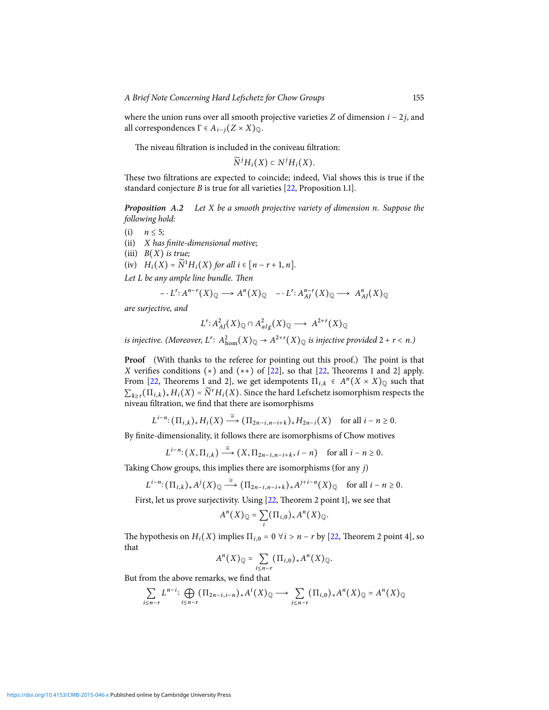where the union runs over all smooth projective varieties Z of dimension  $i - 2j$ , and all correspondences Γ ∈  $A_{i-i}(Z \times X)_{\mathbb{Q}}$ .

The niveau filtration is included in the coniveau filtration:

 $\widetilde{N}^jH_i(X)\subset N^jH_i(X).$ 

These two filtrations are expected to coincide; indeed, Vial shows this is true if the standard conjecture B is true for all varieties [\[22,](#page-14-6) Proposition 1.1].

<span id="page-11-0"></span>**Proposition A.2** Let X be a smooth projective variety of dimension n. Suppose the following hold:

(i)  $n \leq 5$ ;

 $(ii)$  X has finite-dimensional motive;

(iii)  $B(X)$  is true;

(iv)  $H_i(X) = \overline{N}^1 H_i(X)$  for all  $i \in [n-r+1, n]$ .

Let  $L$  be any ample line bundle. Then

$$
\cdots L^{r}: A^{n-r}(X)_{\mathbb{Q}} \longrightarrow A^{n}(X)_{\mathbb{Q}} \quad \cdots L^{r}: A^{n-r}(X)_{\mathbb{Q}} \longrightarrow A^{n}_{AI}(X)_{\mathbb{Q}}
$$

are surjective, and

$$
L^r: A^2_{AI}(X)_{\mathbb{Q}} \cap A^2_{alg}(X)_{\mathbb{Q}} \longrightarrow A^{2+r}(X)_{\mathbb{Q}}
$$

is injective. (Moreover,  $L^r$ :  $A_{\text{hom}}^2(X)_\mathbb{Q} \to A^{2+r}(X)_\mathbb{Q}$  is injective provided 2 + r < n.)

Proof (With thanks to the referee for pointing out this proof.) The point is that X verifies conditions  $(*)$  and  $(**)$  of [\[22\]](#page-14-6), so that [\[22,](#page-14-6) Theorems 1 and 2] apply. From [\[22,](#page-14-6) Theorems 1 and 2], we get idempotents  $\Pi_{i,k} \in A^{n}(X \times X)_{\mathbb{Q}}$  such that  $\sum_{k \geq r} (\Pi_{i,k})_* H_i(X) = \widetilde{N}^r H_i(X)$ . Since the hard Lefschetz isomorphism respects the niveau filtration, we find that there are isomorphisms

$$
L^{i-n} \colon (\Pi_{i,k})_* H_i(X) \xrightarrow{\cong} (\Pi_{2n-i,n-i+k})_* H_{2n-i}(X) \quad \text{for all } i-n \geq 0.
$$

By finite-dimensionality, it follows there are isomorphisms of Chow motives

$$
L^{i-n}: (X,\Pi_{i,k}) \stackrel{\cong}{\longrightarrow} (X,\Pi_{2n-i,n-i+k}, i-n) \text{ for all } i-n \geq 0.
$$

Taking Chow groups, this implies there are isomorphisms (for any j)

$$
L^{i-n}: (\Pi_{i,k})_* A^j(X)_\mathbb{Q} \stackrel{\cong}{\longrightarrow} (\Pi_{2n-i,n-i+k})_* A^{j+i-n}(X)_\mathbb{Q} \quad \text{for all } i-n \geq 0.
$$

First, let us prove surjectivity. Using [\[22,](#page-14-6) Theorem 2 point 1], we see that

$$
A^{n}(X)_{\mathbb{Q}}=\sum_{i}(\Pi_{i,0})_{*}A^{n}(X)_{\mathbb{Q}}.
$$

The hypothesis on  $H_i(X)$  implies  $\Pi_{i,0} = 0 \ \forall i > n - r$  by [\[22,](#page-14-6) Theorem 2 point 4], so that

$$
A^{n}(X)_{\mathbb{Q}} = \sum_{i \leq n-r} (\Pi_{i,0})_{*} A^{n}(X)_{\mathbb{Q}}.
$$

But from the above remarks, we find that

$$
\sum_{i\leq n-r} L^{n-i} \colon \bigoplus_{i\leq n-r} (\Pi_{2n-i,i-n})_* A^i(X)_\mathbb{Q} \longrightarrow \sum_{i\leq n-r} (\Pi_{i,0})_* A^n(X)_\mathbb{Q} = A^n(X)_\mathbb{Q}
$$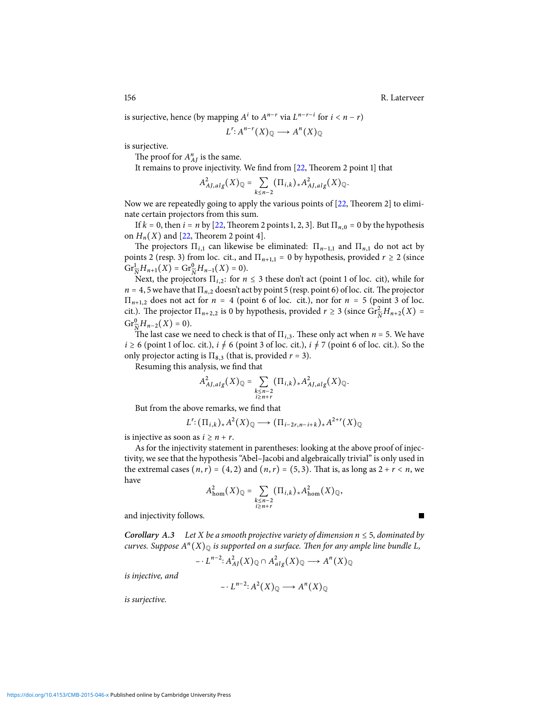П

is surjective, hence (by mapping  $A^i$  to  $A^{n-r}$  via  $L^{n-r-i}$  for  $i < n-r$ )

$$
L^r: A^{n-r}(X)_\mathbb{Q} \longrightarrow A^n(X)_\mathbb{Q}
$$

is surjective.

The proof for  $A_{AI}^n$  is the same.

It remains to prove injectivity. We find from [\[22,](#page-14-6) Theorem 2 point 1] that

$$
A_{AJ,alg}^2(X)_\mathbb{Q} = \sum_{k \le n-2} (\Pi_{i,k})_* A_{AJ,alg}^2(X)_\mathbb{Q}.
$$

Now we are repeatedly going to apply the various points of  $[22,$  Theorem 2] to eliminate certain projectors from this sum.

If  $k = 0$ , then  $i = n$  by [\[22,](#page-14-6) Theorem 2 points 1, 2, 3]. But  $\Pi_{n,0} = 0$  by the hypothesis on  $H_n(X)$  and [\[22,](#page-14-6) Theorem 2 point 4].

The projectors  $\Pi_{i,1}$  can likewise be eliminated:  $\Pi_{n-1,1}$  and  $\Pi_{n,1}$  do not act by points 2 (resp. 3) from loc. cit., and  $\Pi_{n+1,1} = 0$  by hypothesis, provided  $r \ge 2$  (since  $\mathrm{Gr}^1_{\widetilde{N}}H_{n+1}(X) = \mathrm{Gr}^0_{\widetilde{N}}H_{n-1}(X) = 0.$ 

Next, the projectors  $\Pi_{i,2}$ : for  $n \leq 3$  these don't act (point 1 of loc. cit), while for  $n = 4, 5$  we have that  $\Pi_{n,2}$  doesn't act by point 5 (resp. point 6) of loc. cit. The projector  $\Pi_{n+1,2}$  does not act for  $n = 4$  (point 6 of loc. cit.), nor for  $n = 5$  (point 3 of loc. cit.). The projector  $\Pi_{n+2,2}$  is 0 by hypothesis, provided  $r \ge 3$  (since  $\overset{\sim}{\text{Gr}}_{\widetilde{N}}^2 H_{n+2}(X) =$  $\mathrm{Gr}^0_{\widetilde{N}}H_{n-2}(X)=0.$ 

The last case we need to check is that of  $\Pi_{i,3}$ . These only act when  $n = 5$ . We have  $i \ge 6$  (point 1 of loc. cit.),  $i \ne 6$  (point 3 of loc. cit.),  $i \ne 7$  (point 6 of loc. cit.). So the only projector acting is  $\Pi_{8,3}$  (that is, provided  $r = 3$ ).

Resuming this analysis, we find that

$$
A^2_{AJ,alg}(X)_{\mathbb{Q}} = \sum_{\substack{k \leq n-2 \\ i \geq n+r}} (\Pi_{i,k})_* A^2_{AJ,alg}(X)_{\mathbb{Q}}.
$$

But from the above remarks, we find that

$$
L^r: (\Pi_{i,k})_* A^2(X)_{\mathbb{Q}} \longrightarrow (\Pi_{i-2r,n-i+k})_* A^{2+r}(X)_{\mathbb{Q}}
$$

is injective as soon as  $i \ge n + r$ .

As for the injectivity statement in parentheses: looking at the above proof of injectivity, we see that the hypothesis "Abel–Jacobi and algebraically trivial" is only used in the extremal cases  $(n, r) = (4, 2)$  and  $(n, r) = (5, 3)$ . That is, as long as  $2 + r < n$ , we have

$$
A_{\text{hom}}^{2}(X)_{\mathbb{Q}} = \sum_{\substack{k \leq n-2 \\ i \geq n+r}} (\Pi_{i,k})_{*} A_{\text{hom}}^{2}(X)_{\mathbb{Q}},
$$

and injectivity follows.

<span id="page-12-0"></span>**Corollary** A.3 Let X be a smooth projective variety of dimension  $n \leq 5$ , dominated by curves. Suppose A" $(X)_{\mathbb Q}$  is supported on a surface. Then for any ample line bundle L,

$$
- \cdot L^{n-2} \colon A^2_{AJ}(X)_{\mathbb{Q}} \cap A^2_{alg}(X)_{\mathbb{Q}} \longrightarrow A^n(X)_{\mathbb{Q}}
$$

is injective, and

$$
- \cdot L^{n-2} \colon A^2(X)_{\mathbb{Q}} \longrightarrow A^n(X)_{\mathbb{Q}}
$$

is surjective.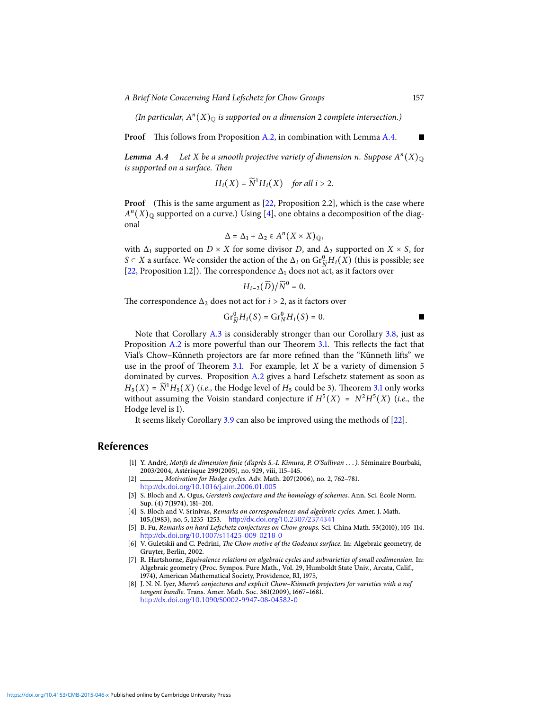A Brief Note Concerning Hard Lefschetz for Chow Groups 157

(In particular,  $A<sup>n</sup>(X)_{\mathbb{Q}}$  is supported on a dimension 2 complete intersection.)

**Proof** This follows from Proposition [A.2,](#page-11-0) in combination with Lemma [A.4.](#page-13-8)

<span id="page-13-8"></span>Lemma  $\bm{A.4}\quad$  Let X be a smooth projective variety of dimension n. Suppose  $A^n(X)_{\mathbb Q}$ is supported on a surface. Then

$$
H_i(X) = \widetilde{N}^1 H_i(X) \quad \text{for all } i > 2.
$$

**Proof** (This is the same argument as  $[22,$  Proposition 2.2], which is the case where  $A<sup>n</sup>(X)_{\mathbb{Q}}$  supported on a curve.) Using [\[4\]](#page-13-2), one obtains a decomposition of the diagonal

$$
\Delta = \Delta_1 + \Delta_2 \in A^n(X \times X)_{\mathbb{Q}},
$$

with  $\Delta_1$  supported on  $D \times X$  for some divisor D, and  $\Delta_2$  supported on  $X \times S$ , for S ⊂ X a surface. We consider the action of the  $\Delta_i$  on  $\text{Gr}^0_{\widetilde{N}}H_i(X)$  (this is possible; see [\[22,](#page-14-6) Proposition 1.2]). The correspondence  $\Delta_1$  does not act, as it factors over

$$
H_{i-2}(\widetilde{D})/\widetilde{N}^0=0.
$$

The correspondence  $\Delta_2$  does not act for  $i > 2$ , as it factors over

$$
\mathrm{Gr}_{\widetilde{N}}^0 H_i(S) = \mathrm{Gr}_{N}^0 H_i(S) = 0.
$$

Note that Corollary [A.3](#page-12-0) is considerably stronger than our Corollary [3.8,](#page-8-0) just as Proposition  $A.2$  is more powerful than our Theorem [3.1.](#page-4-0) This reflects the fact that Vial's Chow–Künneth projectors are far more refined than the "Künneth lifts" we use in the proof of Theorem [3.1.](#page-4-0) For example, let  $X$  be a variety of dimension 5 dominated by curves. Proposition [A.2](#page-11-0) gives a hard Lefschetz statement as soon as  $H_5(X) = \tilde{N}^1 H_5(X)$  (*i.e.*, the Hodge level of  $H_5$  could be 3). Theorem [3.1](#page-4-0) only works without assuming the Voisin standard conjecture if  $H^5(X) = N^2 H^5(X)$  (i.e., the Hodge level is 1).

It seems likely Corollary [3.9](#page-9-1) can also be improved using the methods of [\[22\]](#page-14-6).

### **References**

- <span id="page-13-3"></span>[1] Y. André, Motifs de dimension finie (d'après S.-I. Kimura, P. O'Sullivan . . . ). Séminaire Bourbaki, 2003/2004, Astérisque **299**(2005), no. 929, viii, 115–145.
- <span id="page-13-7"></span>[2] , Motivation for Hodge cycles. Adv. Math. **207**(2006), no. 2, 762–781. <http://dx.doi.org/10.1016/j.aim.2006.01.005>
- <span id="page-13-4"></span>[3] S. Bloch and A. Ogus, Gersten's conjecture and the homology of schemes. Ann. Sci. École Norm. Sup. (4) **7**(1974), 181–201.
- <span id="page-13-2"></span>[4] S. Bloch and V. Srinivas, Remarks on correspondences and algebraic cycles. Amer. J. Math. **105,**(1983), no. 5, 1235–1253. <http://dx.doi.org/10.2307/2374341>
- <span id="page-13-0"></span>[5] B. Fu, Remarks on hard Lefschetz conjectures on Chow groups. Sci. China Math. **53**(2010), 105–114. <http://dx.doi.org/10.1007/s11425-009-0218-0>
- <span id="page-13-5"></span>[6] V. Guletskiĭ and C. Pedrini, The Chow motive of the Godeaux surface. In: Algebraic geometry, de Gruyter, Berlin, 2002.
- <span id="page-13-1"></span>[7] R. Hartshorne, Equivalence relations on algebraic cycles and subvarieties of small codimension. In: Algebraic geometry (Proc. Sympos. Pure Math., Vol. 29, Humboldt State Univ., Arcata, Calif., 1974), American Mathematical Society, Providence, RI, 1975,
- <span id="page-13-6"></span>[8] J. N. N. Iyer, Murre's conjectures and explicit Chow–Künneth projectors for varieties with a nef tangent bundle. Trans. Amer. Math. Soc. **361**(2009), 1667–1681. <http://dx.doi.org/10.1090/S0002-9947-08-04582-0>

П